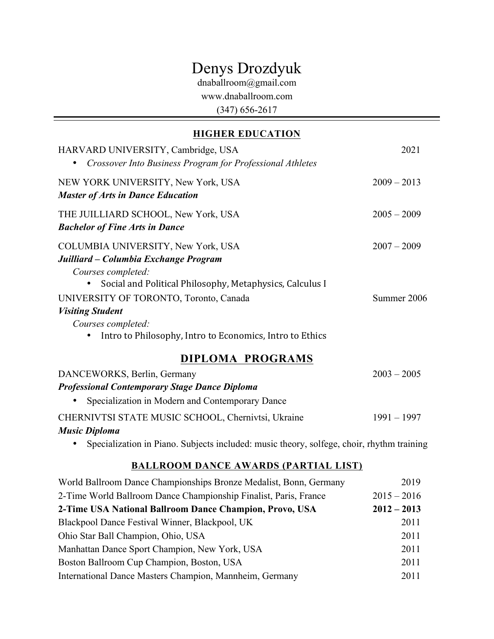# Denys Drozdyuk

dnaballroom@gmail.com

www.dnaballroom.com

(347) 656-2617

## **HIGHER EDUCATION**

| HARVARD UNIVERSITY, Cambridge, USA<br>Crossover Into Business Program for Professional Athletes                                                                                                                                                          | 2021                         |
|----------------------------------------------------------------------------------------------------------------------------------------------------------------------------------------------------------------------------------------------------------|------------------------------|
| NEW YORK UNIVERSITY, New York, USA<br><b>Master of Arts in Dance Education</b>                                                                                                                                                                           | $2009 - 2013$                |
| THE JUILLIARD SCHOOL, New York, USA<br><b>Bachelor of Fine Arts in Dance</b>                                                                                                                                                                             | $2005 - 2009$                |
| COLUMBIA UNIVERSITY, New York, USA<br>Juilliard – Columbia Exchange Program<br>Courses completed:<br>Social and Political Philosophy, Metaphysics, Calculus I<br>UNIVERSITY OF TORONTO, Toronto, Canada<br><b>Visiting Student</b><br>Courses completed: | $2007 - 2009$<br>Summer 2006 |
| Intro to Philosophy, Intro to Economics, Intro to Ethics                                                                                                                                                                                                 |                              |
| <b>DIPLOMA PROGRAMS</b>                                                                                                                                                                                                                                  |                              |
| DANCEWORKS, Berlin, Germany                                                                                                                                                                                                                              | $2003 - 2005$                |
| <b>Professional Contemporary Stage Dance Diploma</b>                                                                                                                                                                                                     |                              |
| Specialization in Modern and Contemporary Dance                                                                                                                                                                                                          |                              |
| CHERNIVTSI STATE MUSIC SCHOOL, Chernivtsi, Ukraine                                                                                                                                                                                                       | $1991 - 1997$                |

#### *Music Diploma*

• Specialization in Piano. Subjects included: music theory, solfege, choir, rhythm training

#### **BALLROOM DANCE AWARDS (PARTIAL LIST)**

| World Ballroom Dance Championships Bronze Medalist, Bonn, Germany | 2019          |
|-------------------------------------------------------------------|---------------|
| 2-Time World Ballroom Dance Championship Finalist, Paris, France  | $2015 - 2016$ |
| 2-Time USA National Ballroom Dance Champion, Provo, USA           | $2012 - 2013$ |
| Blackpool Dance Festival Winner, Blackpool, UK                    | 2011          |
| Ohio Star Ball Champion, Ohio, USA                                | 2011          |
| Manhattan Dance Sport Champion, New York, USA                     | 2011          |
| Boston Ballroom Cup Champion, Boston, USA                         | 2011          |
| International Dance Masters Champion, Mannheim, Germany           | 2011          |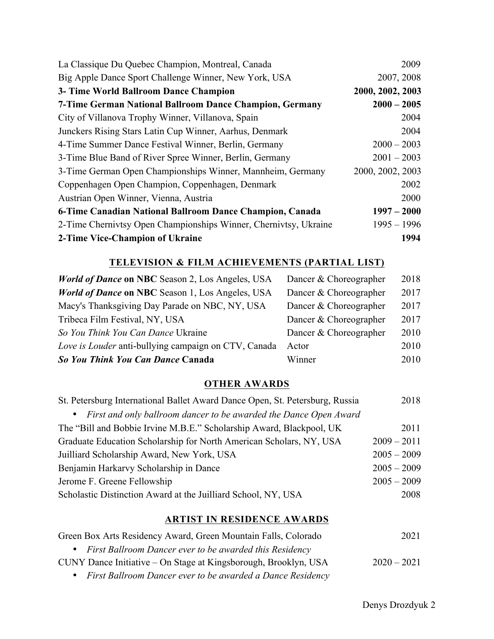| La Classique Du Quebec Champion, Montreal, Canada                | 2009             |
|------------------------------------------------------------------|------------------|
| Big Apple Dance Sport Challenge Winner, New York, USA            | 2007, 2008       |
| 3- Time World Ballroom Dance Champion                            | 2000, 2002, 2003 |
| 7-Time German National Ballroom Dance Champion, Germany          | $2000 - 2005$    |
| City of Villanova Trophy Winner, Villanova, Spain                | 2004             |
| Junckers Rising Stars Latin Cup Winner, Aarhus, Denmark          | 2004             |
| 4-Time Summer Dance Festival Winner, Berlin, Germany             | $2000 - 2003$    |
| 3-Time Blue Band of River Spree Winner, Berlin, Germany          | $2001 - 2003$    |
| 3-Time German Open Championships Winner, Mannheim, Germany       | 2000, 2002, 2003 |
| Coppenhagen Open Champion, Coppenhagen, Denmark                  | 2002             |
| Austrian Open Winner, Vienna, Austria                            | 2000             |
| 6-Time Canadian National Ballroom Dance Champion, Canada         | $1997 - 2000$    |
| 2-Time Chernivtsy Open Championships Winner, Chernivtsy, Ukraine | $1995 - 1996$    |
| 2-Time Vice-Champion of Ukraine                                  | 1994             |

#### **TELEVISION & FILM ACHIEVEMENTS (PARTIAL LIST)**

| <b>World of Dance on NBC</b> Season 2, Los Angeles, USA | Dancer & Choreographer | 2018 |
|---------------------------------------------------------|------------------------|------|
| <b>World of Dance on NBC</b> Season 1, Los Angeles, USA | Dancer & Choreographer | 2017 |
| Macy's Thanksgiving Day Parade on NBC, NY, USA          | Dancer & Choreographer | 2017 |
| Tribeca Film Festival, NY, USA                          | Dancer & Choreographer | 2017 |
| So You Think You Can Dance Ukraine                      | Dancer & Choreographer | 2010 |
| Love is Louder anti-bullying campaign on CTV, Canada    | Actor                  | 2010 |
| So You Think You Can Dance Canada                       | Winner                 | 2010 |

## **OTHER AWARDS**

| St. Petersburg International Ballet Award Dance Open, St. Petersburg, Russia | 2018          |
|------------------------------------------------------------------------------|---------------|
| • First and only ballroom dancer to be awarded the Dance Open Award          |               |
| The "Bill and Bobbie Irvine M.B.E." Scholarship Award, Blackpool, UK         | 2011          |
| Graduate Education Scholarship for North American Scholars, NY, USA          | $2009 - 2011$ |
| Juilliard Scholarship Award, New York, USA                                   | $2005 - 2009$ |
| Benjamin Harkarvy Scholarship in Dance                                       | $2005 - 2009$ |
| Jerome F. Greene Fellowship                                                  | $2005 - 2009$ |
| Scholastic Distinction Award at the Juilliard School, NY, USA                | 2008          |

#### **ARTIST IN RESIDENCE AWARDS**

| Green Box Arts Residency Award, Green Mountain Falls, Colorado  | 2021          |
|-----------------------------------------------------------------|---------------|
| • First Ballroom Dancer ever to be awarded this Residency       |               |
| CUNY Dance Initiative – On Stage at Kingsborough, Brooklyn, USA | $2020 - 2021$ |
|                                                                 |               |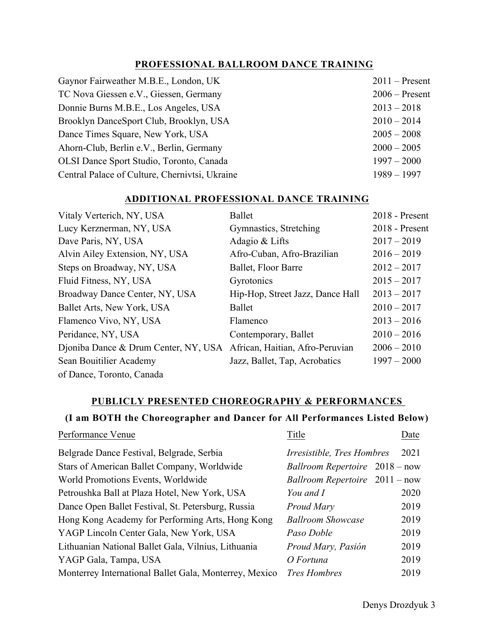#### **PROFESSIONAL BALLROOM DANCE TRAINING**

| Gaynor Fairweather M.B.E., London, UK          | $2011$ – Present |
|------------------------------------------------|------------------|
| TC Nova Giessen e.V., Giessen, Germany         | $2006$ – Present |
| Donnie Burns M.B.E., Los Angeles, USA          | $2013 - 2018$    |
| Brooklyn DanceSport Club, Brooklyn, USA        | $2010 - 2014$    |
| Dance Times Square, New York, USA              | $2005 - 2008$    |
| Ahorn-Club, Berlin e.V., Berlin, Germany       | $2000 - 2005$    |
| OLSI Dance Sport Studio, Toronto, Canada       | $1997 - 2000$    |
| Central Palace of Culture, Chernivtsi, Ukraine | $1989 - 1997$    |

#### **ADDITIONAL PROFESSIONAL DANCE TRAINING**

| Vitaly Verterich, NY, USA            | <b>Ballet</b>                    | $2018$ - Present |
|--------------------------------------|----------------------------------|------------------|
| Lucy Kerznerman, NY, USA             | Gymnastics, Stretching           | 2018 - Present   |
| Dave Paris, NY, USA                  | Adagio & Lifts                   | $2017 - 2019$    |
| Alvin Ailey Extension, NY, USA       | Afro-Cuban, Afro-Brazilian       | $2016 - 2019$    |
| Steps on Broadway, NY, USA           | Ballet, Floor Barre              | $2012 - 2017$    |
| Fluid Fitness, NY, USA               | Gyrotonics                       | $2015 - 2017$    |
| Broadway Dance Center, NY, USA       | Hip-Hop, Street Jazz, Dance Hall | $2013 - 2017$    |
| Ballet Arts, New York, USA           | Ballet                           | $2010 - 2017$    |
| Flamenco Vivo, NY, USA               | Flamenco                         | $2013 - 2016$    |
| Peridance, NY, USA                   | Contemporary, Ballet             | $2010 - 2016$    |
| Dioniba Dance & Drum Center, NY, USA | African, Haitian, Afro-Peruvian  | $2006 - 2010$    |
| Sean Bouitilier Academy              | Jazz, Ballet, Tap, Acrobatics    | $1997 - 2000$    |
| of Dance, Toronto, Canada            |                                  |                  |

#### **PUBLICLY PRESENTED CHOREOGRAPHY & PERFORMANCES**

#### **(I am BOTH the Choreographer and Dancer for All Performances Listed Below)**

| Performance Venue                                      | Title                                   | Date |
|--------------------------------------------------------|-----------------------------------------|------|
| Belgrade Dance Festival, Belgrade, Serbia              | Irresistible, Tres Hombres              | 2021 |
| Stars of American Ballet Company, Worldwide            | Ballroom Repertoire 2018 – now          |      |
| World Promotions Events, Worldwide                     | <i>Ballroom Repertoire</i> $2011 - now$ |      |
| Petroushka Ball at Plaza Hotel, New York, USA          | You and I                               | 2020 |
| Dance Open Ballet Festival, St. Petersburg, Russia     | Proud Mary                              | 2019 |
| Hong Kong Academy for Performing Arts, Hong Kong       | <b>Ballroom Showcase</b>                | 2019 |
| YAGP Lincoln Center Gala, New York, USA                | Paso Doble                              | 2019 |
| Lithuanian National Ballet Gala, Vilnius, Lithuania    | Proud Mary, Pasión                      | 2019 |
| YAGP Gala, Tampa, USA                                  | O Fortuna                               | 2019 |
| Monterrey International Ballet Gala, Monterrey, Mexico | <b>Tres Hombres</b>                     | 2019 |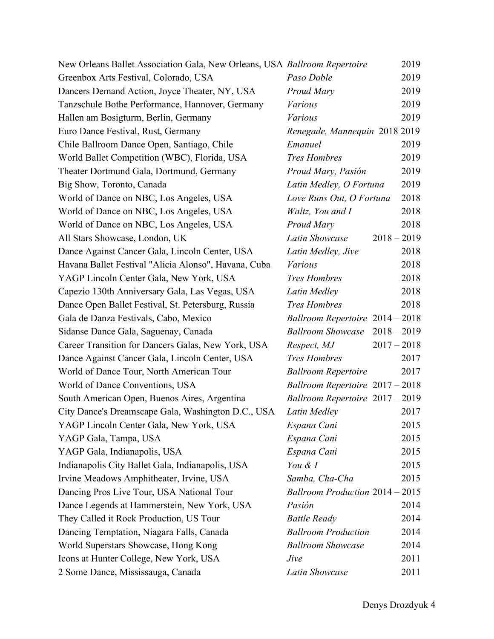| New Orleans Ballet Association Gala, New Orleans, USA Ballroom Repertoire |                                        | 2019 |
|---------------------------------------------------------------------------|----------------------------------------|------|
| Greenbox Arts Festival, Colorado, USA                                     | Paso Doble                             | 2019 |
| Dancers Demand Action, Joyce Theater, NY, USA                             | Proud Mary                             | 2019 |
| Tanzschule Bothe Performance, Hannover, Germany                           | <b>Various</b>                         | 2019 |
| Hallen am Bosigturm, Berlin, Germany                                      | <b>Various</b>                         | 2019 |
| Euro Dance Festival, Rust, Germany                                        | Renegade, Mannequin 2018 2019          |      |
| Chile Ballroom Dance Open, Santiago, Chile                                | Emanuel                                | 2019 |
| World Ballet Competition (WBC), Florida, USA                              | <b>Tres Hombres</b>                    | 2019 |
| Theater Dortmund Gala, Dortmund, Germany                                  | Proud Mary, Pasión                     | 2019 |
| Big Show, Toronto, Canada                                                 | Latin Medley, O Fortuna                | 2019 |
| World of Dance on NBC, Los Angeles, USA                                   | Love Runs Out, O Fortuna               | 2018 |
| World of Dance on NBC, Los Angeles, USA                                   | Waltz, You and I                       | 2018 |
| World of Dance on NBC, Los Angeles, USA                                   | <b>Proud Mary</b>                      | 2018 |
| All Stars Showcase, London, UK                                            | $2018 - 2019$<br>Latin Showcase        |      |
| Dance Against Cancer Gala, Lincoln Center, USA                            | Latin Medley, Jive                     | 2018 |
| Havana Ballet Festival "Alicia Alonso", Havana, Cuba                      | <b>Various</b>                         | 2018 |
| YAGP Lincoln Center Gala, New York, USA                                   | <b>Tres Hombres</b>                    | 2018 |
| Capezio 130th Anniversary Gala, Las Vegas, USA                            | Latin Medley                           | 2018 |
| Dance Open Ballet Festival, St. Petersburg, Russia                        | <b>Tres Hombres</b>                    | 2018 |
| Gala de Danza Festivals, Cabo, Mexico                                     | Ballroom Repertoire 2014 - 2018        |      |
| Sidanse Dance Gala, Saguenay, Canada                                      | Ballroom Showcase 2018 - 2019          |      |
| Career Transition for Dancers Galas, New York, USA                        | $2017 - 2018$<br>Respect, MJ           |      |
| Dance Against Cancer Gala, Lincoln Center, USA                            | <b>Tres Hombres</b>                    | 2017 |
| World of Dance Tour, North American Tour                                  | <b>Ballroom Repertoire</b>             | 2017 |
| World of Dance Conventions, USA                                           | Ballroom Repertoire 2017 - 2018        |      |
| South American Open, Buenos Aires, Argentina                              | Ballroom Repertoire 2017 - 2019        |      |
| City Dance's Dreamscape Gala, Washington D.C., USA                        | Latin Medley                           | 2017 |
| YAGP Lincoln Center Gala, New York, USA                                   | Espana Cani                            | 2015 |
| YAGP Gala, Tampa, USA                                                     | Espana Cani                            | 2015 |
| YAGP Gala, Indianapolis, USA                                              | Espana Cani                            | 2015 |
| Indianapolis City Ballet Gala, Indianapolis, USA                          | You & I                                | 2015 |
| Irvine Meadows Amphitheater, Irvine, USA                                  | Samba, Cha-Cha                         | 2015 |
| Dancing Pros Live Tour, USA National Tour                                 | <b>Ballroom Production 2014 - 2015</b> |      |
| Dance Legends at Hammerstein, New York, USA                               | Pasión                                 | 2014 |
| They Called it Rock Production, US Tour                                   | <b>Battle Ready</b>                    | 2014 |
| Dancing Temptation, Niagara Falls, Canada                                 | <b>Ballroom Production</b>             | 2014 |
| World Superstars Showcase, Hong Kong                                      | <b>Ballroom Showcase</b>               | 2014 |
| Icons at Hunter College, New York, USA                                    | Jive                                   | 2011 |
| 2 Some Dance, Mississauga, Canada                                         | <b>Latin Showcase</b>                  | 2011 |
|                                                                           |                                        |      |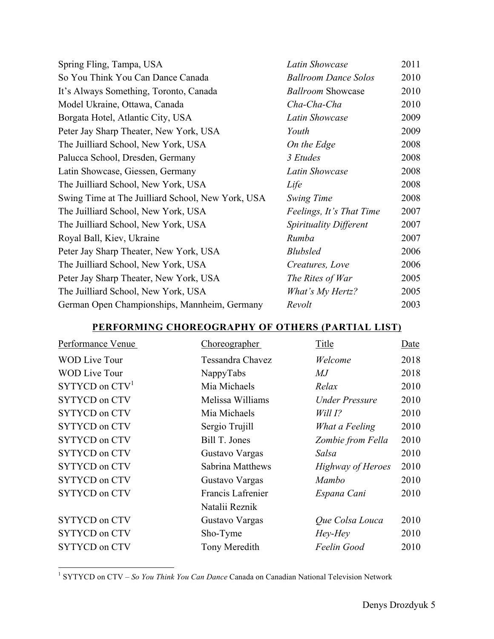| Spring Fling, Tampa, USA                          | Latin Showcase              | 2011 |
|---------------------------------------------------|-----------------------------|------|
| So You Think You Can Dance Canada                 | <b>Ballroom Dance Solos</b> | 2010 |
| It's Always Something, Toronto, Canada            | <b>Ballroom Showcase</b>    | 2010 |
| Model Ukraine, Ottawa, Canada                     | Cha-Cha-Cha                 | 2010 |
| Borgata Hotel, Atlantic City, USA                 | <b>Latin Showcase</b>       | 2009 |
| Peter Jay Sharp Theater, New York, USA            | Youth                       | 2009 |
| The Juilliard School, New York, USA               | On the Edge                 | 2008 |
| Palucca School, Dresden, Germany                  | 3 Etudes                    | 2008 |
| Latin Showcase, Giessen, Germany                  | Latin Showcase              | 2008 |
| The Juilliard School, New York, USA               | Life                        | 2008 |
| Swing Time at The Juilliard School, New York, USA | Swing Time                  | 2008 |
| The Juilliard School, New York, USA               | Feelings, It's That Time    | 2007 |
| The Juilliard School, New York, USA               | Spirituality Different      | 2007 |
| Royal Ball, Kiev, Ukraine                         | Rumba                       | 2007 |
| Peter Jay Sharp Theater, New York, USA            | <b>Blubsled</b>             | 2006 |
| The Juilliard School, New York, USA               | Creatures, Love             | 2006 |
| Peter Jay Sharp Theater, New York, USA            | The Rites of War            | 2005 |
| The Juilliard School, New York, USA               | What's My Hertz?            | 2005 |
| German Open Championships, Mannheim, Germany      | Revolt                      | 2003 |

#### **PERFORMING CHOREOGRAPHY OF OTHERS (PARTIAL LIST)**

| Performance Venue    | <b>Choreographer</b>    | Title                    | Date |
|----------------------|-------------------------|--------------------------|------|
| <b>WOD Live Tour</b> | <b>Tessandra Chavez</b> | Welcome                  | 2018 |
| <b>WOD Live Tour</b> | NappyTabs               | MJ                       | 2018 |
| $SYTYCD$ on $CTV1$   | Mia Michaels            | Relax                    | 2010 |
| <b>SYTYCD</b> on CTV | Melissa Williams        | Under Pressure           | 2010 |
| <b>SYTYCD</b> on CTV | Mia Michaels            | Will 1?                  | 2010 |
| <b>SYTYCD</b> on CTV | Sergio Trujill          | What a Feeling           | 2010 |
| <b>SYTYCD</b> on CTV | Bill T. Jones           | Zombie from Fella        | 2010 |
| <b>SYTYCD</b> on CTV | Gustavo Vargas          | Salsa                    | 2010 |
| <b>SYTYCD</b> on CTV | Sabrina Matthews        | <b>Highway of Heroes</b> | 2010 |
| <b>SYTYCD</b> on CTV | Gustavo Vargas          | Mambo                    | 2010 |
| <b>SYTYCD</b> on CTV | Francis Lafrenier       | Espana Cani              | 2010 |
|                      | Natalii Reznik          |                          |      |
| <b>SYTYCD</b> on CTV | Gustavo Vargas          | Que Colsa Louca          | 2010 |
| <b>SYTYCD</b> on CTV | Sho-Tyme                | Hey-Hey                  | 2010 |
| <b>SYTYCD</b> on CTV | Tony Meredith           | Feelin Good              | 2010 |

 <sup>1</sup> SYTYCD on CTV – *So You Think You Can Dance* Canada on Canadian National Television Network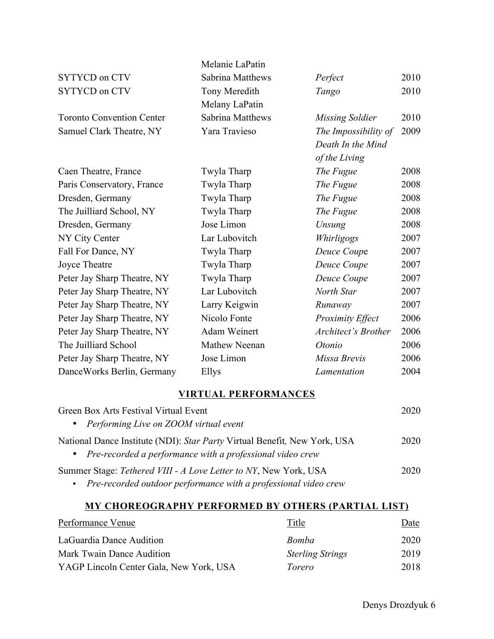|                                                                           | Melanie LaPatin                                           |                            |      |
|---------------------------------------------------------------------------|-----------------------------------------------------------|----------------------------|------|
| <b>SYTYCD</b> on CTV                                                      | <b>Sabrina Matthews</b>                                   | Perfect                    | 2010 |
| <b>SYTYCD on CTV</b>                                                      | Tony Meredith<br>Melany LaPatin                           | Tango                      | 2010 |
| <b>Toronto Convention Center</b>                                          | <b>Sabrina Matthews</b>                                   | <b>Missing Soldier</b>     | 2010 |
| Samuel Clark Theatre, NY                                                  | Yara Travieso                                             | The Impossibility of       | 2009 |
|                                                                           |                                                           | Death In the Mind          |      |
|                                                                           |                                                           | of the Living              |      |
| Caen Theatre, France                                                      | Twyla Tharp                                               | The Fugue                  | 2008 |
| Paris Conservatory, France                                                | Twyla Tharp                                               | The Fugue                  | 2008 |
| Dresden, Germany                                                          | Twyla Tharp                                               | The Fugue                  | 2008 |
| The Juilliard School, NY                                                  | Twyla Tharp                                               | The Fugue                  | 2008 |
| Dresden, Germany                                                          | Jose Limon                                                | Unsung                     | 2008 |
| NY City Center                                                            | Lar Lubovitch                                             | Whirligogs                 | 2007 |
| Fall For Dance, NY                                                        | Twyla Tharp                                               | Deuce Coupe                | 2007 |
| <b>Joyce Theatre</b>                                                      | Twyla Tharp                                               | Deuce Coupe                | 2007 |
| Peter Jay Sharp Theatre, NY                                               | Twyla Tharp                                               | Deuce Coupe                | 2007 |
| Peter Jay Sharp Theatre, NY                                               | Lar Lubovitch                                             | North Star                 | 2007 |
| Peter Jay Sharp Theatre, NY                                               | Larry Keigwin                                             | Runaway                    | 2007 |
| Peter Jay Sharp Theatre, NY                                               | Nicolo Fonte                                              | <b>Proximity Effect</b>    | 2006 |
| Peter Jay Sharp Theatre, NY                                               | Adam Weinert                                              | <b>Architect's Brother</b> | 2006 |
| The Juilliard School                                                      | Mathew Neenan                                             | Otonio                     | 2006 |
| Peter Jay Sharp Theatre, NY                                               | Jose Limon                                                | Missa Brevis               | 2006 |
| DanceWorks Berlin, Germany                                                | Ellys                                                     | Lamentation                | 2004 |
|                                                                           | <b>VIRTUAL PERFORMANCES</b>                               |                            |      |
| Green Box Arts Festival Virtual Event                                     |                                                           |                            | 2020 |
| Performing Live on ZOOM virtual event                                     |                                                           |                            |      |
| National Dance Institute (NDI): Star Party Virtual Benefit, New York, USA | Pre-recorded a performance with a professional video crew |                            | 2020 |

Summer Stage: *Tethered VIII - A Love Letter to NY*, New York, USA 2020 • *Pre-recorded outdoor performance with a professional video crew*

#### **MY CHOREOGRAPHY PERFORMED BY OTHERS (PARTIAL LIST)**

| Performance Venue                       | Title                   | Date |
|-----------------------------------------|-------------------------|------|
| LaGuardia Dance Audition                | Bomba                   | 2020 |
| Mark Twain Dance Audition               | <b>Sterling Strings</b> | 2019 |
| YAGP Lincoln Center Gala, New York, USA | Torero                  | 2018 |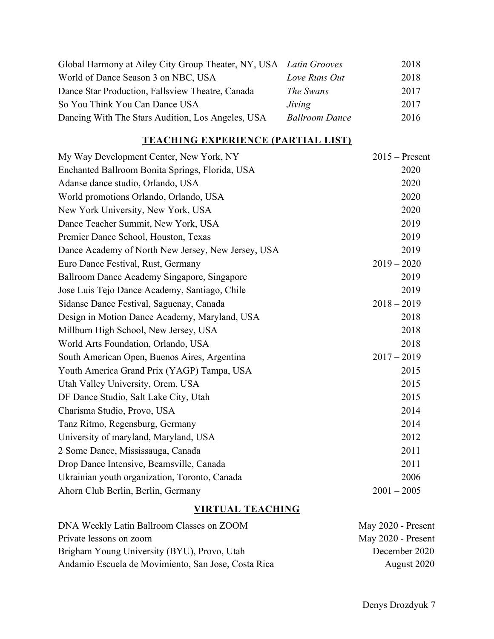| Global Harmony at Ailey City Group Theater, NY, USA Latin Grooves |                       | 2018 |
|-------------------------------------------------------------------|-----------------------|------|
| World of Dance Season 3 on NBC, USA                               | Love Runs Out         | 2018 |
| Dance Star Production, Fallsview Theatre, Canada                  | The Swans             | 2017 |
| So You Think You Can Dance USA                                    | Jiving                | 2017 |
| Dancing With The Stars Audition, Los Angeles, USA                 | <b>Ballroom Dance</b> | 2016 |

## **TEACHING EXPERIENCE (PARTIAL LIST)**

| My Way Development Center, New York, NY            | $2015$ – Present |
|----------------------------------------------------|------------------|
| Enchanted Ballroom Bonita Springs, Florida, USA    | 2020             |
| Adanse dance studio, Orlando, USA                  | 2020             |
| World promotions Orlando, Orlando, USA             | 2020             |
| New York University, New York, USA                 | 2020             |
| Dance Teacher Summit, New York, USA                | 2019             |
| Premier Dance School, Houston, Texas               | 2019             |
| Dance Academy of North New Jersey, New Jersey, USA | 2019             |
| Euro Dance Festival, Rust, Germany                 | $2019 - 2020$    |
| Ballroom Dance Academy Singapore, Singapore        | 2019             |
| Jose Luis Tejo Dance Academy, Santiago, Chile      | 2019             |
| Sidanse Dance Festival, Saguenay, Canada           | $2018 - 2019$    |
| Design in Motion Dance Academy, Maryland, USA      | 2018             |
| Millburn High School, New Jersey, USA              | 2018             |
| World Arts Foundation, Orlando, USA                | 2018             |
| South American Open, Buenos Aires, Argentina       | $2017 - 2019$    |
| Youth America Grand Prix (YAGP) Tampa, USA         | 2015             |
| Utah Valley University, Orem, USA                  | 2015             |
| DF Dance Studio, Salt Lake City, Utah              | 2015             |
| Charisma Studio, Provo, USA                        | 2014             |
| Tanz Ritmo, Regensburg, Germany                    | 2014             |
| University of maryland, Maryland, USA              | 2012             |
| 2 Some Dance, Mississauga, Canada                  | 2011             |
| Drop Dance Intensive, Beamsville, Canada           | 2011             |
| Ukrainian youth organization, Toronto, Canada      | 2006             |
| Ahorn Club Berlin, Berlin, Germany                 | $2001 - 2005$    |

## **VIRTUAL TEACHING**

| DNA Weekly Latin Ballroom Classes on ZOOM           | May 2020 - Present |
|-----------------------------------------------------|--------------------|
| Private lessons on zoom                             | May 2020 - Present |
| Brigham Young University (BYU), Provo, Utah         | December 2020      |
| Andamio Escuela de Movimiento, San Jose, Costa Rica | August 2020        |